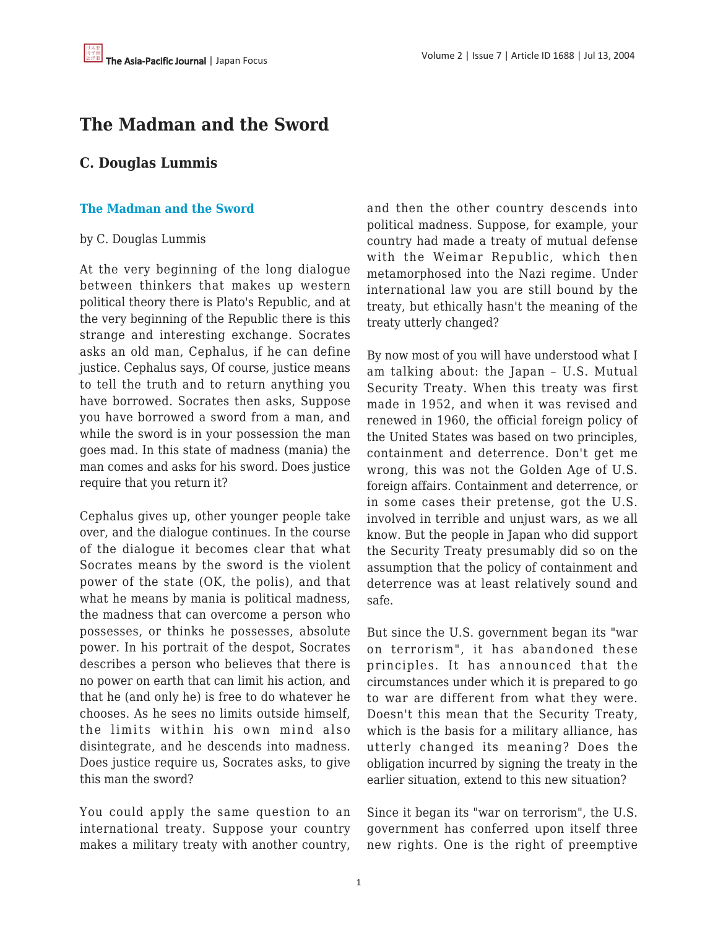## **The Madman and the Sword**

## **C. Douglas Lummis**

## **[The Madman and the Sword](http://www.japanfocus.org/100.html)**

## by C. Douglas Lummis

At the very beginning of the long dialogue between thinkers that makes up western political theory there is Plato's Republic, and at the very beginning of the Republic there is this strange and interesting exchange. Socrates asks an old man, Cephalus, if he can define justice. Cephalus says, Of course, justice means to tell the truth and to return anything you have borrowed. Socrates then asks, Suppose you have borrowed a sword from a man, and while the sword is in your possession the man goes mad. In this state of madness (mania) the man comes and asks for his sword. Does justice require that you return it?

Cephalus gives up, other younger people take over, and the dialogue continues. In the course of the dialogue it becomes clear that what Socrates means by the sword is the violent power of the state (OK, the polis), and that what he means by mania is political madness, the madness that can overcome a person who possesses, or thinks he possesses, absolute power. In his portrait of the despot, Socrates describes a person who believes that there is no power on earth that can limit his action, and that he (and only he) is free to do whatever he chooses. As he sees no limits outside himself, the limits within his own mind also disintegrate, and he descends into madness. Does justice require us, Socrates asks, to give this man the sword?

You could apply the same question to an international treaty. Suppose your country makes a military treaty with another country, and then the other country descends into political madness. Suppose, for example, your country had made a treaty of mutual defense with the Weimar Republic, which then metamorphosed into the Nazi regime. Under international law you are still bound by the treaty, but ethically hasn't the meaning of the treaty utterly changed?

By now most of you will have understood what I am talking about: the Japan – U.S. Mutual Security Treaty. When this treaty was first made in 1952, and when it was revised and renewed in 1960, the official foreign policy of the United States was based on two principles, containment and deterrence. Don't get me wrong, this was not the Golden Age of U.S. foreign affairs. Containment and deterrence, or in some cases their pretense, got the U.S. involved in terrible and unjust wars, as we all know. But the people in Japan who did support the Security Treaty presumably did so on the assumption that the policy of containment and deterrence was at least relatively sound and safe.

But since the U.S. government began its "war on terrorism", it has abandoned these principles. It has announced that the circumstances under which it is prepared to go to war are different from what they were. Doesn't this mean that the Security Treaty, which is the basis for a military alliance, has utterly changed its meaning? Does the obligation incurred by signing the treaty in the earlier situation, extend to this new situation?

Since it began its "war on terrorism", the U.S. government has conferred upon itself three new rights. One is the right of preemptive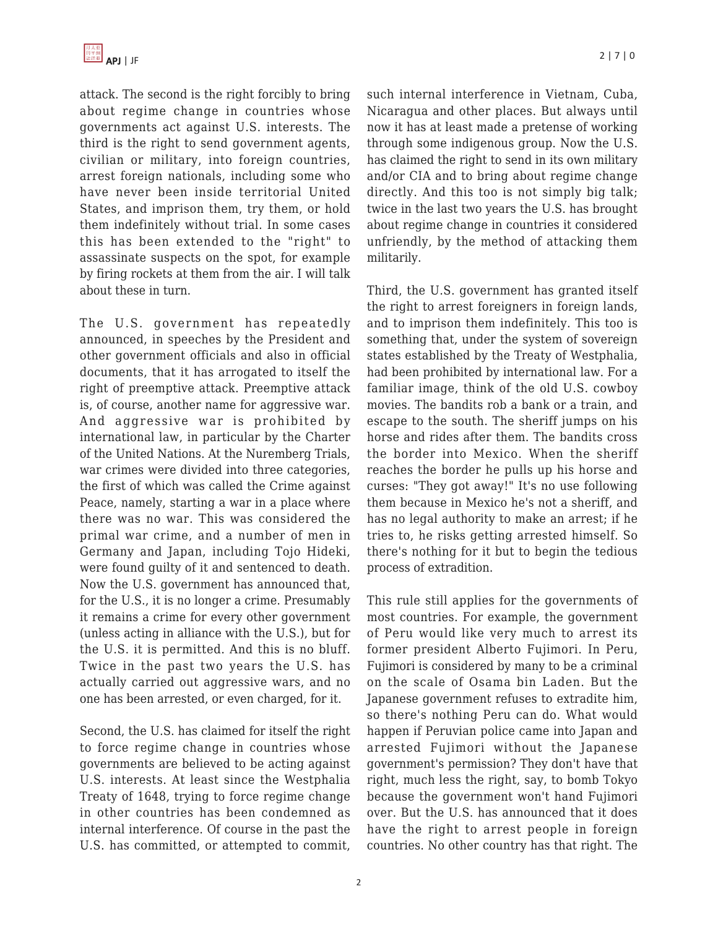attack. The second is the right forcibly to bring about regime change in countries whose governments act against U.S. interests. The third is the right to send government agents, civilian or military, into foreign countries, arrest foreign nationals, including some who have never been inside territorial United States, and imprison them, try them, or hold them indefinitely without trial. In some cases this has been extended to the "right" to assassinate suspects on the spot, for example by firing rockets at them from the air. I will talk about these in turn.

The U.S. government has repeatedly announced, in speeches by the President and other government officials and also in official documents, that it has arrogated to itself the right of preemptive attack. Preemptive attack is, of course, another name for aggressive war. And aggressive war is prohibited by international law, in particular by the Charter of the United Nations. At the Nuremberg Trials, war crimes were divided into three categories, the first of which was called the Crime against Peace, namely, starting a war in a place where there was no war. This was considered the primal war crime, and a number of men in Germany and Japan, including Tojo Hideki, were found guilty of it and sentenced to death. Now the U.S. government has announced that, for the U.S., it is no longer a crime. Presumably it remains a crime for every other government (unless acting in alliance with the U.S.), but for the U.S. it is permitted. And this is no bluff. Twice in the past two years the U.S. has actually carried out aggressive wars, and no one has been arrested, or even charged, for it.

Second, the U.S. has claimed for itself the right to force regime change in countries whose governments are believed to be acting against U.S. interests. At least since the Westphalia Treaty of 1648, trying to force regime change in other countries has been condemned as internal interference. Of course in the past the U.S. has committed, or attempted to commit,

such internal interference in Vietnam, Cuba, Nicaragua and other places. But always until now it has at least made a pretense of working through some indigenous group. Now the U.S. has claimed the right to send in its own military and/or CIA and to bring about regime change directly. And this too is not simply big talk; twice in the last two years the U.S. has brought about regime change in countries it considered unfriendly, by the method of attacking them militarily.

Third, the U.S. government has granted itself the right to arrest foreigners in foreign lands, and to imprison them indefinitely. This too is something that, under the system of sovereign states established by the Treaty of Westphalia, had been prohibited by international law. For a familiar image, think of the old U.S. cowboy movies. The bandits rob a bank or a train, and escape to the south. The sheriff jumps on his horse and rides after them. The bandits cross the border into Mexico. When the sheriff reaches the border he pulls up his horse and curses: "They got away!" It's no use following them because in Mexico he's not a sheriff, and has no legal authority to make an arrest; if he tries to, he risks getting arrested himself. So there's nothing for it but to begin the tedious process of extradition.

This rule still applies for the governments of most countries. For example, the government of Peru would like very much to arrest its former president Alberto Fujimori. In Peru, Fujimori is considered by many to be a criminal on the scale of Osama bin Laden. But the Japanese government refuses to extradite him, so there's nothing Peru can do. What would happen if Peruvian police came into Japan and arrested Fujimori without the Japanese government's permission? They don't have that right, much less the right, say, to bomb Tokyo because the government won't hand Fujimori over. But the U.S. has announced that it does have the right to arrest people in foreign countries. No other country has that right. The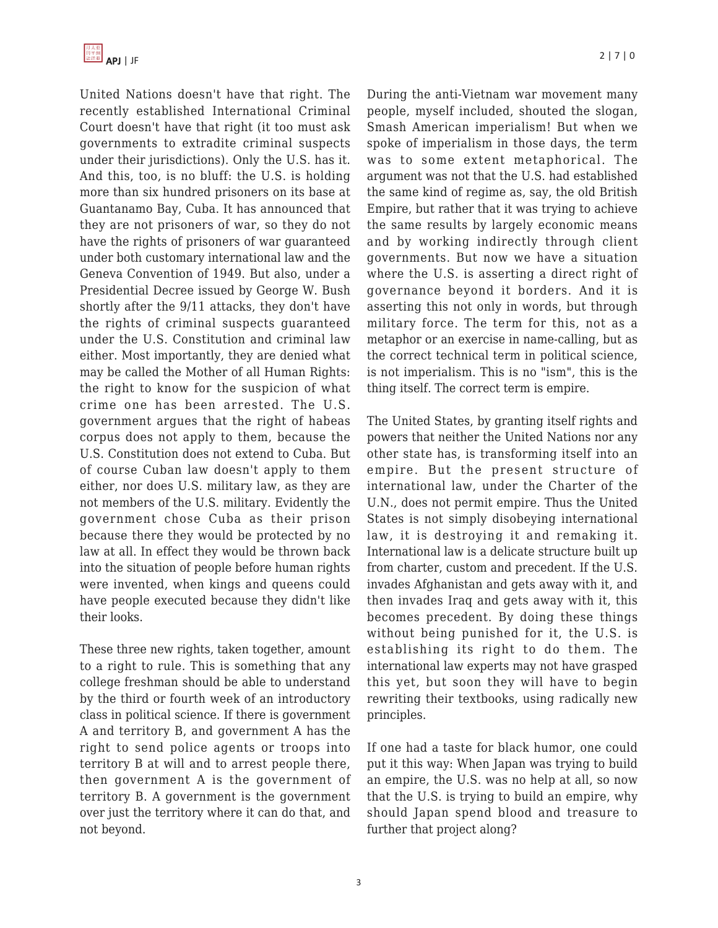United Nations doesn't have that right. The recently established International Criminal Court doesn't have that right (it too must ask governments to extradite criminal suspects under their jurisdictions). Only the U.S. has it. And this, too, is no bluff: the U.S. is holding more than six hundred prisoners on its base at Guantanamo Bay, Cuba. It has announced that they are not prisoners of war, so they do not have the rights of prisoners of war guaranteed under both customary international law and the Geneva Convention of 1949. But also, under a Presidential Decree issued by George W. Bush shortly after the 9/11 attacks, they don't have the rights of criminal suspects guaranteed under the U.S. Constitution and criminal law either. Most importantly, they are denied what may be called the Mother of all Human Rights: the right to know for the suspicion of what crime one has been arrested. The U.S. government argues that the right of habeas corpus does not apply to them, because the U.S. Constitution does not extend to Cuba. But of course Cuban law doesn't apply to them either, nor does U.S. military law, as they are not members of the U.S. military. Evidently the government chose Cuba as their prison because there they would be protected by no law at all. In effect they would be thrown back into the situation of people before human rights were invented, when kings and queens could have people executed because they didn't like their looks.

These three new rights, taken together, amount to a right to rule. This is something that any college freshman should be able to understand by the third or fourth week of an introductory class in political science. If there is government A and territory B, and government A has the right to send police agents or troops into territory B at will and to arrest people there, then government A is the government of territory B. A government is the government over just the territory where it can do that, and not beyond.

During the anti-Vietnam war movement many people, myself included, shouted the slogan, Smash American imperialism! But when we spoke of imperialism in those days, the term was to some extent metaphorical. The argument was not that the U.S. had established the same kind of regime as, say, the old British Empire, but rather that it was trying to achieve the same results by largely economic means and by working indirectly through client governments. But now we have a situation where the U.S. is asserting a direct right of governance beyond it borders. And it is asserting this not only in words, but through military force. The term for this, not as a metaphor or an exercise in name-calling, but as the correct technical term in political science, is not imperialism. This is no "ism", this is the thing itself. The correct term is empire.

The United States, by granting itself rights and powers that neither the United Nations nor any other state has, is transforming itself into an empire. But the present structure of international law, under the Charter of the U.N., does not permit empire. Thus the United States is not simply disobeying international law, it is destroying it and remaking it. International law is a delicate structure built up from charter, custom and precedent. If the U.S. invades Afghanistan and gets away with it, and then invades Iraq and gets away with it, this becomes precedent. By doing these things without being punished for it, the U.S. is establishing its right to do them. The international law experts may not have grasped this yet, but soon they will have to begin rewriting their textbooks, using radically new principles.

If one had a taste for black humor, one could put it this way: When Japan was trying to build an empire, the U.S. was no help at all, so now that the U.S. is trying to build an empire, why should Japan spend blood and treasure to further that project along?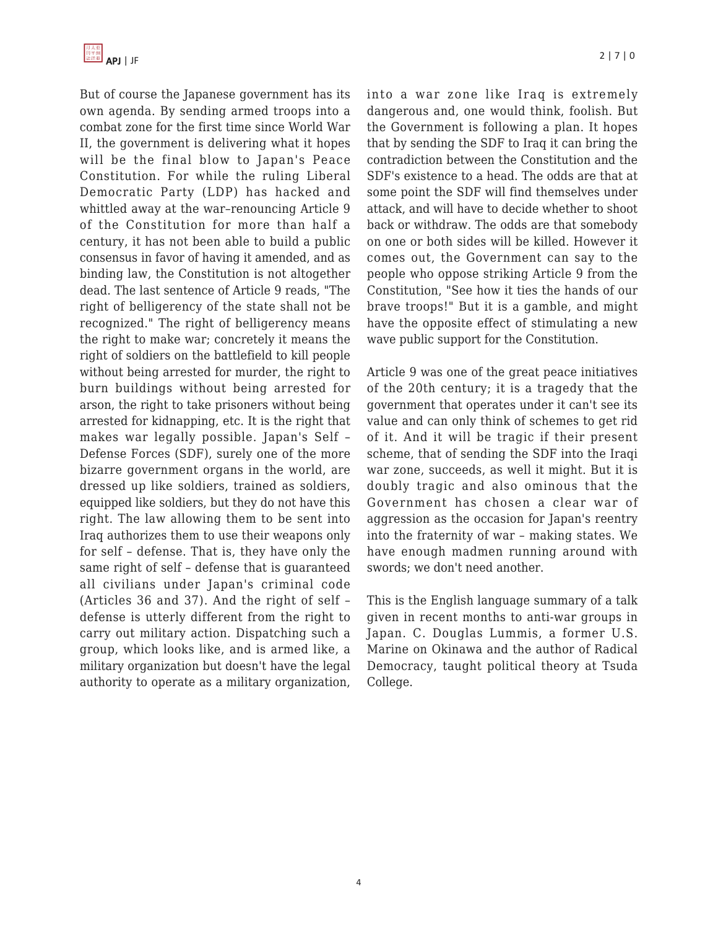

But of course the Japanese government has its own agenda. By sending armed troops into a combat zone for the first time since World War II, the government is delivering what it hopes will be the final blow to Japan's Peace Constitution. For while the ruling Liberal Democratic Party (LDP) has hacked and whittled away at the war–renouncing Article 9 of the Constitution for more than half a century, it has not been able to build a public consensus in favor of having it amended, and as binding law, the Constitution is not altogether dead. The last sentence of Article 9 reads, "The right of belligerency of the state shall not be recognized." The right of belligerency means the right to make war; concretely it means the right of soldiers on the battlefield to kill people without being arrested for murder, the right to burn buildings without being arrested for arson, the right to take prisoners without being arrested for kidnapping, etc. It is the right that makes war legally possible. Japan's Self – Defense Forces (SDF), surely one of the more bizarre government organs in the world, are dressed up like soldiers, trained as soldiers, equipped like soldiers, but they do not have this right. The law allowing them to be sent into Iraq authorizes them to use their weapons only for self – defense. That is, they have only the same right of self – defense that is guaranteed all civilians under Japan's criminal code (Articles 36 and 37). And the right of self – defense is utterly different from the right to carry out military action. Dispatching such a group, which looks like, and is armed like, a military organization but doesn't have the legal authority to operate as a military organization, into a war zone like Iraq is extremely dangerous and, one would think, foolish. But the Government is following a plan. It hopes that by sending the SDF to Iraq it can bring the contradiction between the Constitution and the SDF's existence to a head. The odds are that at some point the SDF will find themselves under attack, and will have to decide whether to shoot back or withdraw. The odds are that somebody on one or both sides will be killed. However it comes out, the Government can say to the people who oppose striking Article 9 from the Constitution, "See how it ties the hands of our brave troops!" But it is a gamble, and might have the opposite effect of stimulating a new wave public support for the Constitution.

Article 9 was one of the great peace initiatives of the 20th century; it is a tragedy that the government that operates under it can't see its value and can only think of schemes to get rid of it. And it will be tragic if their present scheme, that of sending the SDF into the Iraqi war zone, succeeds, as well it might. But it is doubly tragic and also ominous that the Government has chosen a clear war of aggression as the occasion for Japan's reentry into the fraternity of war – making states. We have enough madmen running around with swords; we don't need another.

This is the English language summary of a talk given in recent months to anti-war groups in Japan. C. Douglas Lummis, a former U.S. Marine on Okinawa and the author of Radical Democracy, taught political theory at Tsuda College.